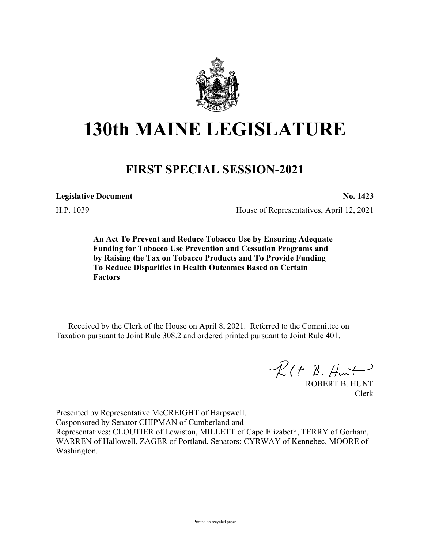

## **130th MAINE LEGISLATURE**

## **FIRST SPECIAL SESSION-2021**

**Legislative Document No. 1423**

H.P. 1039 House of Representatives, April 12, 2021

**An Act To Prevent and Reduce Tobacco Use by Ensuring Adequate Funding for Tobacco Use Prevention and Cessation Programs and by Raising the Tax on Tobacco Products and To Provide Funding To Reduce Disparities in Health Outcomes Based on Certain Factors**

Received by the Clerk of the House on April 8, 2021. Referred to the Committee on Taxation pursuant to Joint Rule 308.2 and ordered printed pursuant to Joint Rule 401.

 $\mathcal{R}(t \; \mathcal{B}, \#m)$ 

ROBERT B. HUNT Clerk

Presented by Representative McCREIGHT of Harpswell. Cosponsored by Senator CHIPMAN of Cumberland and Representatives: CLOUTIER of Lewiston, MILLETT of Cape Elizabeth, TERRY of Gorham, WARREN of Hallowell, ZAGER of Portland, Senators: CYRWAY of Kennebec, MOORE of Washington.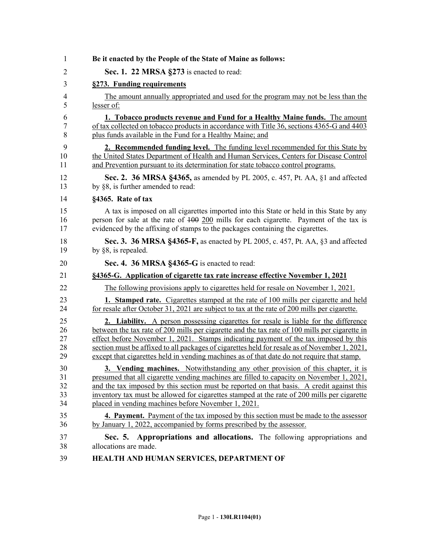|                                                           | Be it enacted by the People of the State of Maine as follows:                                                                                                                                                                                                                                                                                                                                                                                                                        |
|-----------------------------------------------------------|--------------------------------------------------------------------------------------------------------------------------------------------------------------------------------------------------------------------------------------------------------------------------------------------------------------------------------------------------------------------------------------------------------------------------------------------------------------------------------------|
| Sec. 1. 22 MRSA §273 is enacted to read:                  |                                                                                                                                                                                                                                                                                                                                                                                                                                                                                      |
| §273. Funding requirements                                |                                                                                                                                                                                                                                                                                                                                                                                                                                                                                      |
| lesser of:                                                | The amount annually appropriated and used for the program may not be less than the                                                                                                                                                                                                                                                                                                                                                                                                   |
| plus funds available in the Fund for a Healthy Maine; and | 1. Tobacco products revenue and Fund for a Healthy Maine funds. The amount<br>of tax collected on tobacco products in accordance with Title 36, sections 4365-G and 4403                                                                                                                                                                                                                                                                                                             |
|                                                           | 2. Recommended funding level. The funding level recommended for this State by<br>the United States Department of Health and Human Services, Centers for Disease Control<br>and Prevention pursuant to its determination for state tobacco control programs.                                                                                                                                                                                                                          |
| by §8, is further amended to read:                        | Sec. 2. 36 MRSA §4365, as amended by PL 2005, c. 457, Pt. AA, §1 and affected                                                                                                                                                                                                                                                                                                                                                                                                        |
| §4365. Rate of tax                                        |                                                                                                                                                                                                                                                                                                                                                                                                                                                                                      |
|                                                           | A tax is imposed on all cigarettes imported into this State or held in this State by any<br>person for sale at the rate of $100\ 200$ mills for each cigarette. Payment of the tax is<br>evidenced by the affixing of stamps to the packages containing the cigarettes.                                                                                                                                                                                                              |
| by $\S$ 8, is repealed.                                   | Sec. 3. 36 MRSA §4365-F, as enacted by PL 2005, c. 457, Pt. AA, §3 and affected                                                                                                                                                                                                                                                                                                                                                                                                      |
| Sec. 4. 36 MRSA §4365-G is enacted to read:               |                                                                                                                                                                                                                                                                                                                                                                                                                                                                                      |
|                                                           | §4365-G. Application of cigarette tax rate increase effective November 1, 2021                                                                                                                                                                                                                                                                                                                                                                                                       |
|                                                           | The following provisions apply to cigarettes held for resale on November 1, 2021.                                                                                                                                                                                                                                                                                                                                                                                                    |
|                                                           | <b>1. Stamped rate.</b> Cigarettes stamped at the rate of 100 mills per cigarette and held<br>for resale after October 31, 2021 are subject to tax at the rate of 200 mills per cigarette.                                                                                                                                                                                                                                                                                           |
|                                                           | <b>2. Liability.</b> A person possessing cigarettes for resale is liable for the difference<br>between the tax rate of 200 mills per cigarette and the tax rate of 100 mills per cigarette in<br>effect before November 1, 2021. Stamps indicating payment of the tax imposed by this<br>section must be affixed to all packages of cigarettes held for resale as of November 1, 2021,<br>except that cigarettes held in vending machines as of that date do not require that stamp. |
| placed in vending machines before November 1, 2021.       | 3. Vending machines. Notwithstanding any other provision of this chapter, it is<br>presumed that all cigarette vending machines are filled to capacity on November 1, 2021,<br>and the tax imposed by this section must be reported on that basis. A credit against this<br>inventory tax must be allowed for cigarettes stamped at the rate of 200 mills per cigarette                                                                                                              |
|                                                           | <b>4. Payment.</b> Payment of the tax imposed by this section must be made to the assessor<br>by January 1, 2022, accompanied by forms prescribed by the assessor.                                                                                                                                                                                                                                                                                                                   |
| Sec. 5.<br>allocations are made.                          | Appropriations and allocations. The following appropriations and                                                                                                                                                                                                                                                                                                                                                                                                                     |
|                                                           | HEALTH AND HUMAN SERVICES, DEPARTMENT OF                                                                                                                                                                                                                                                                                                                                                                                                                                             |
|                                                           |                                                                                                                                                                                                                                                                                                                                                                                                                                                                                      |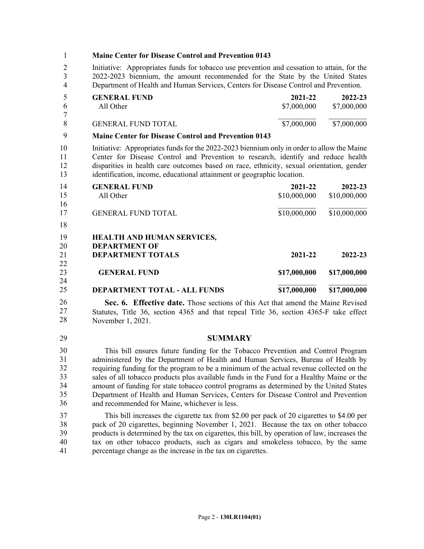1 **Maine Center for Disease Control and Prevention 0143** 2 Initiative: Appropriates funds for tobacco use prevention and cessation to attain, for the 3 2022-2023 biennium, the amount recommended for the State by the United States 4 Department of Health and Human Services, Centers for Disease Control and Prevention. **GENERAL FUND 2021-22 2022-23** All Other \$7,000,000 \$7,000,000 \$7,000,000 \$7,000,000 \$7,000,000 \$7,000,000 \$7,000,000 \$7,000,000 \$7,000,000 \$7  $\mathcal{L}_\text{max}$ GENERAL FUND TOTAL \$7,000,000 \$7,000,000 5 **Maine Center for Disease Control and Prevention 0143** 10 Initiative: Appropriates funds for the 2022-2023 biennium only in order to allow the Maine 11 Center for Disease Control and Prevention to research, identify and reduce health 12 disparities in health care outcomes based on race, ethnicity, sexual orientation, gender 13 identification, income, educational attainment or geographic location. **GENERAL FUND 2021-22 2022-23** All Other \$10,000,000 \$10,000,000 \$10,000,000 \$10,000,000 \$10,000,000 \$10,000,000 \$10,000,000 \$10,000 \$10,000 \$10,000 \$10,000 \$10,000 \$10,000 \$10,000 \$10,000 \$10,000 \$10,000 \$10,000 \$10,000 \$10,000 \$10,000 \$10,000 \$10,000  $\mathcal{L}_\text{max}$ GENERAL FUND TOTAL \$10,000,000 \$10,000,000 \$10,000,000 14 18 **HEALTH AND HUMAN SERVICES, DEPARTMENT OF DEPARTMENT TOTALS 2021-22 2022-23 GENERAL FUND \$17,000,000 \$17,000,000**  $\mathcal{L}_\text{max}$ **DEPARTMENT TOTAL - ALL FUNDS \$17,000,000 \$17,000,000 Sec. 6. Effective date.** Those sections of this Act that amend the Maine Revised Statutes, Title 36, section 4365 and that repeal Title 36, section 4365-F take effect November 1, 2021. 29 **SUMMARY** 30 This bill ensures future funding for the Tobacco Prevention and Control Program administered by the Department of Health and Human Services, Bureau of Health by 32 requiring funding for the program to be a minimum of the actual revenue collected on the sales of all tobacco products plus available funds in the Fund for a Healthy Maine or the amount of funding for state tobacco control programs as determined by the United States 35 Department of Health and Human Services, Centers for Disease Control and Prevention and recommended for Maine, whichever is less. 37 This bill increases the cigarette tax from \$2.00 per pack of 20 cigarettes to \$4.00 per 38 pack of 20 cigarettes, beginning November 1, 2021. Because the tax on other tobacco 39 products is determined by the tax on cigarettes, this bill, by operation of law, increases the 40 tax on other tobacco products, such as cigars and smokeless tobacco, by the same 5 6 7 8 9 14 15 16 17 19 20 21 22 23 24 25 26 27 28 30 31 32 33 34 35 36

41 percentage change as the increase in the tax on cigarettes.